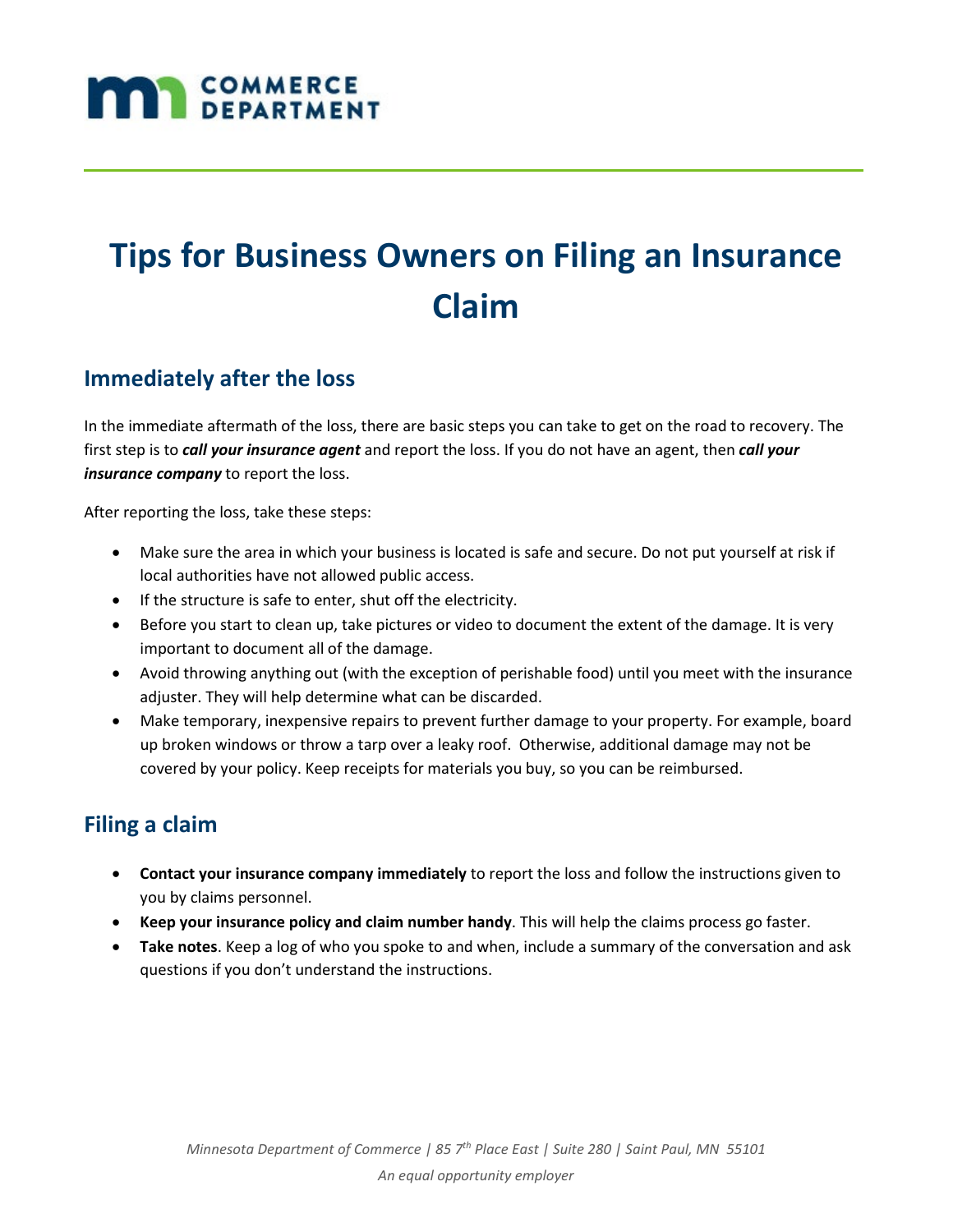# **MAN** COMMERCE

# **Tips for Business Owners on Filing an Insurance Claim**

#### **Immediately after the loss**

In the immediate aftermath of the loss, there are basic steps you can take to get on the road to recovery. The first step is to *call your insurance agent* and report the loss. If you do not have an agent, then *call your insurance company* to report the loss.

After reporting the loss, take these steps:

- Make sure the area in which your business is located is safe and secure. Do not put yourself at risk if local authorities have not allowed public access.
- If the structure is safe to enter, shut off the electricity.
- Before you start to clean up, take pictures or video to document the extent of the damage. It is very important to document all of the damage.
- Avoid throwing anything out (with the exception of perishable food) until you meet with the insurance adjuster. They will help determine what can be discarded.
- Make temporary, inexpensive repairs to prevent further damage to your property. For example, board up broken windows or throw a tarp over a leaky roof. Otherwise, additional damage may not be covered by your policy. Keep receipts for materials you buy, so you can be reimbursed.

## **Filing a claim**

- **Contact your insurance company immediately** to report the loss and follow the instructions given to you by claims personnel.
- **Keep your insurance policy and claim number handy**. This will help the claims process go faster.
- **Take notes**. Keep a log of who you spoke to and when, include a summary of the conversation and ask questions if you don't understand the instructions.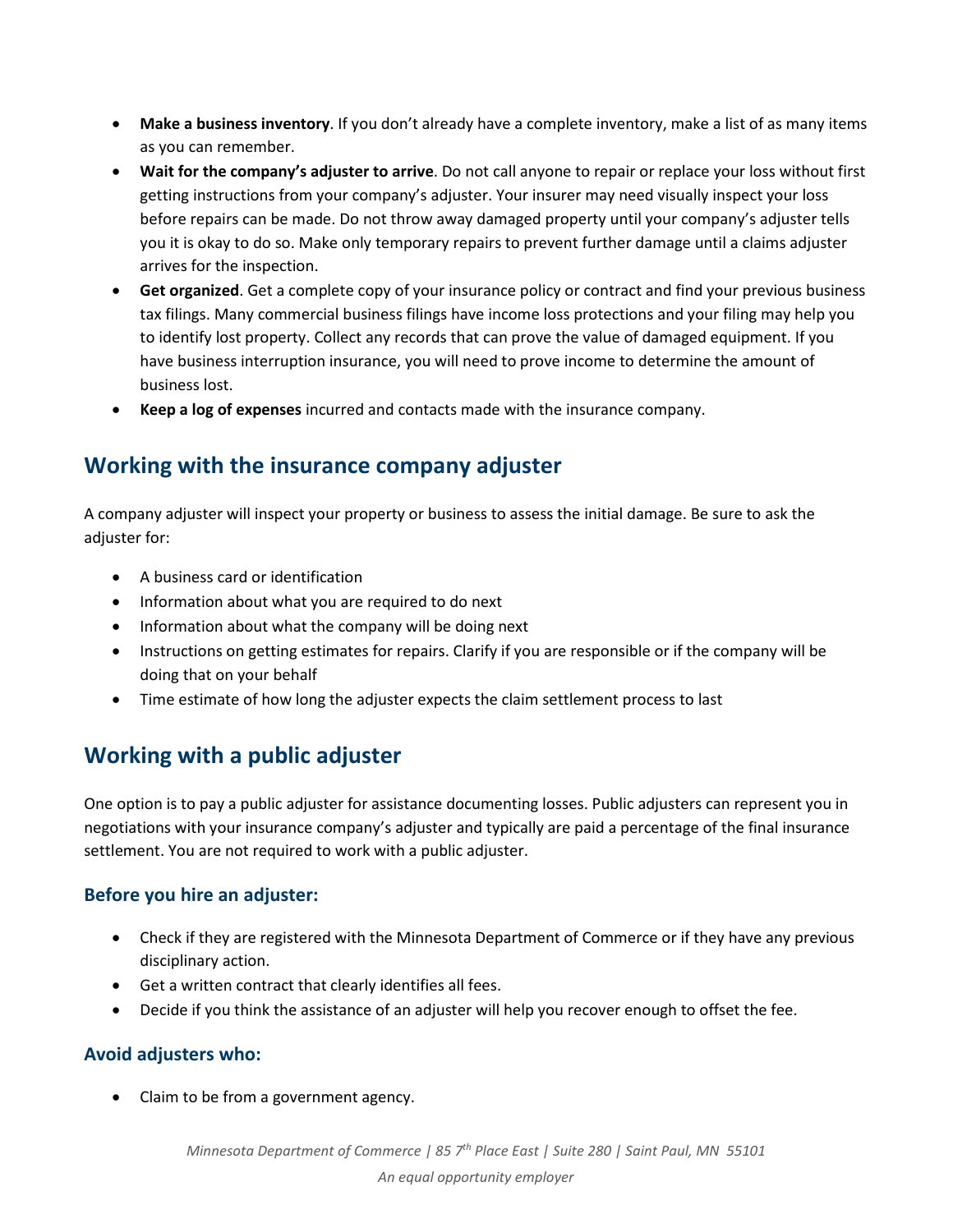- **Make a business inventory**. If you don't already have a complete inventory, make a list of as many items as you can remember.
- **Wait for the company's adjuster to arrive**. Do not call anyone to repair or replace your loss without first getting instructions from your company's adjuster. Your insurer may need visually inspect your loss before repairs can be made. Do not throw away damaged property until your company's adjuster tells you it is okay to do so. Make only temporary repairs to prevent further damage until a claims adjuster arrives for the inspection.
- **Get organized**. Get a complete copy of your insurance policy or contract and find your previous business tax filings. Many commercial business filings have income loss protections and your filing may help you to identify lost property. Collect any records that can prove the value of damaged equipment. If you have business interruption insurance, you will need to prove income to determine the amount of business lost.
- **Keep a log of expenses** incurred and contacts made with the insurance company.

#### **Working with the insurance company adjuster**

A company adjuster will inspect your property or business to assess the initial damage. Be sure to ask the adjuster for:

- A business card or identification
- Information about what you are required to do next
- Information about what the company will be doing next
- Instructions on getting estimates for repairs. Clarify if you are responsible or if the company will be doing that on your behalf
- Time estimate of how long the adjuster expects the claim settlement process to last

## **Working with a public adjuster**

One option is to pay a public adjuster for assistance documenting losses. Public adjusters can represent you in negotiations with your insurance company's adjuster and typically are paid a percentage of the final insurance settlement. You are not required to work with a public adjuster.

#### **Before you hire an adjuster:**

- Check if they are registered with the Minnesota Department of Commerce or if they have any previous disciplinary action.
- Get a written contract that clearly identifies all fees.
- Decide if you think the assistance of an adjuster will help you recover enough to offset the fee.

#### **Avoid adjusters who:**

• Claim to be from a government agency.